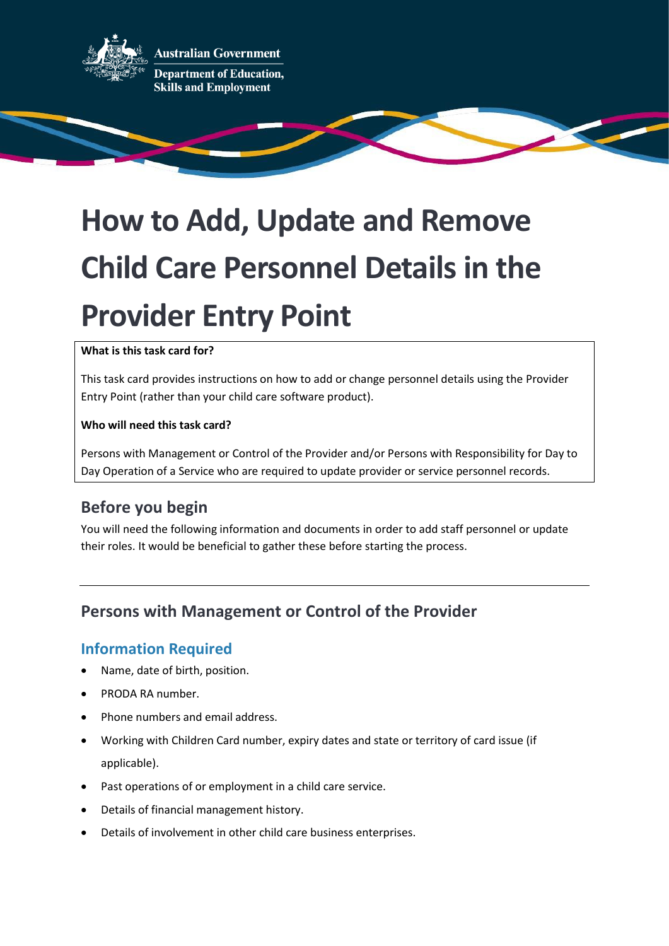

**Australian Government Department of Education, Skills and Employment** 

# **How to Add, Update and Remove Child Care Personnel Details in the Provider Entry Point**

#### **What is this task card for?**

This task card provides instructions on how to add or change personnel details using the Provider Entry Point (rather than your child care software product).

#### **Who will need this task card?**

Persons with Management or Control of the Provider and/or Persons with Responsibility for Day to Day Operation of a Service who are required to update provider or service personnel records.

## **Before you begin**

You will need the following information and documents in order to add staff personnel or update their roles. It would be beneficial to gather these before starting the process.

## **Persons with Management or Control of the Provider**

### **Information Required**

- Name, date of birth, position.
- PRODA RA number.
- Phone numbers and email address.
- Working with Children Card number, expiry dates and state or territory of card issue (if applicable).
- Past operations of or employment in a child care service.
- Details of financial management history.
- Details of involvement in other child care business enterprises.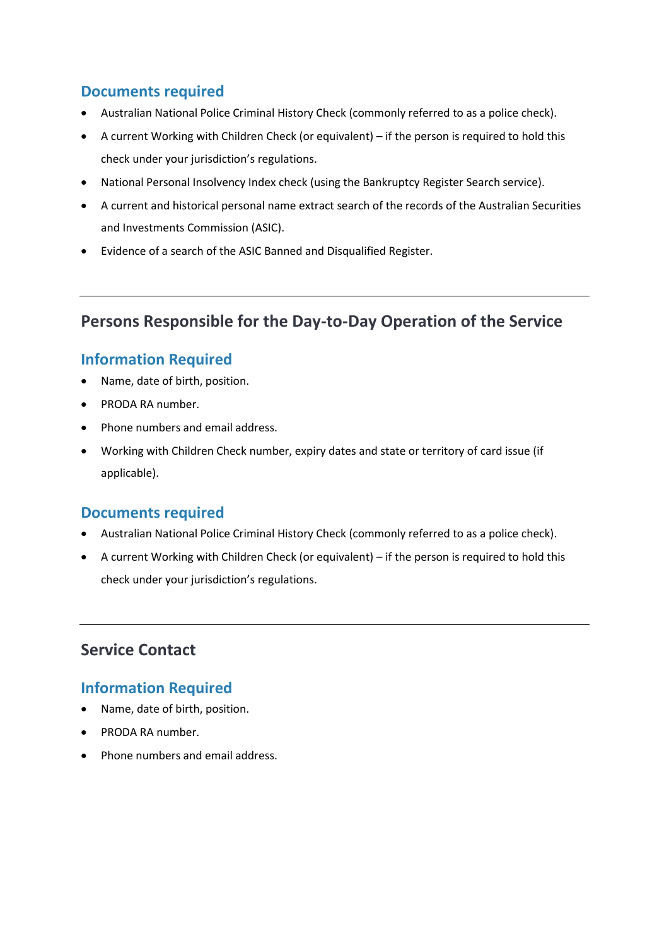## **Documents required**

- Australian National Police Criminal History Check (commonly referred to as a police check).
- A current Working with Children Check (or equivalent) if the person is required to hold this check under your jurisdiction's regulations.
- National Personal Insolvency Index check (using the Bankruptcy Register Search service).
- A current and historical personal name extract search of the records of the Australian Securities and Investments Commission (ASIC).
- Evidence of a search of the ASIC Banned and Disqualified Register.

## **Persons Responsible for the Day-to-Day Operation of the Service**

## **Information Required**

- Name, date of birth, position.
- PRODA RA number.
- Phone numbers and email address.
- Working with Children Check number, expiry dates and state or territory of card issue (if applicable).

## **Documents required**

- Australian National Police Criminal History Check (commonly referred to as a police check).
- A current Working with Children Check (or equivalent) if the person is required to hold this check under your jurisdiction's regulations.

## **Service Contact**

## **Information Required**

- Name, date of birth, position.
- PRODA RA number.
- Phone numbers and email address.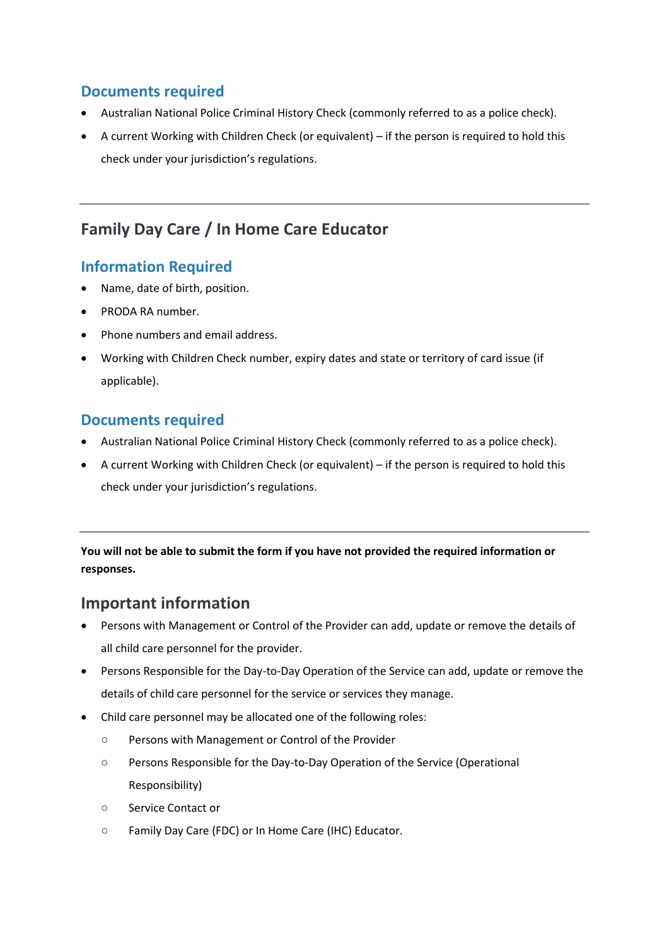## **Documents required**

- Australian National Police Criminal History Check (commonly referred to as a police check).
- A current Working with Children Check (or equivalent) if the person is required to hold this check under your jurisdiction's regulations.

# **Family Day Care / In Home Care Educator**

## **Information Required**

- Name, date of birth, position.
- PRODA RA number.
- Phone numbers and email address.
- Working with Children Check number, expiry dates and state or territory of card issue (if applicable).

## **Documents required**

- Australian National Police Criminal History Check (commonly referred to as a police check).
- A current Working with Children Check (or equivalent) if the person is required to hold this check under your jurisdiction's regulations.

**You will not be able to submit the form if you have not provided the required information or responses.**

# **Important information**

- Persons with Management or Control of the Provider can add, update or remove the details of all child care personnel for the provider.
- Persons Responsible for the Day-to-Day Operation of the Service can add, update or remove the details of child care personnel for the service or services they manage.
- Child care personnel may be allocated one of the following roles:
	- Persons with Management or Control of the Provider
	- Persons Responsible for the Day-to-Day Operation of the Service (Operational Responsibility)
	- Service Contact or
	- Family Day Care (FDC) or In Home Care (IHC) Educator.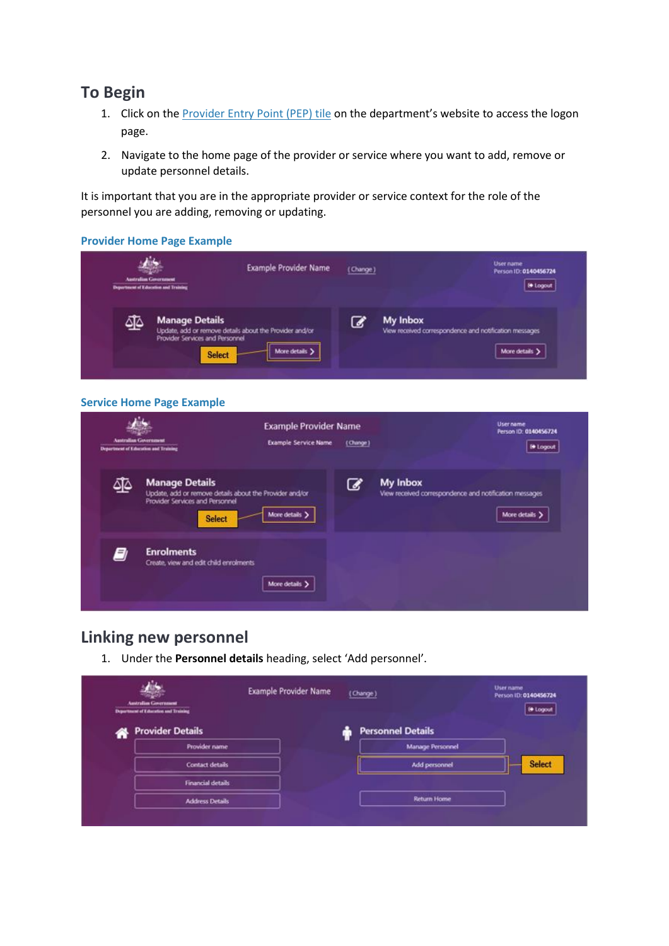## **To Begin**

- 1. Click on the **Provider Entry Point (PEP) tile** on the department's website to access the logon page.
- 2. Navigate to the home page of the provider or service where you want to add, remove or update personnel details.

It is important that you are in the appropriate provider or service context for the role of the personnel you are adding, removing or updating.

#### **Provider Home Page Example**

|    | <b>Australian Generatured</b><br>Department of Education and Training                                                                | <b>Example Provider Name</b> | (Change) | User name<br>Person ID: 0140456724<br>togout                                                |
|----|--------------------------------------------------------------------------------------------------------------------------------------|------------------------------|----------|---------------------------------------------------------------------------------------------|
| ₫∆ | <b>Manage Details</b><br>Update, add or remove details about the Provider and/or<br>Provider Services and Personnel<br><b>Select</b> | More details >               | ها       | <b>My Inbox</b><br>View received correspondence and notification messages<br>More details > |

#### **Service Home Page Example**

| <b>Australian Government</b> | Department of Education and Truining                                                                                                 | <b>Example Provider Name</b><br><b>Example Service Name</b> | (Ounge) |                                                                    | User name<br>Person ID: 0140456724<br><b>E</b> Logout |
|------------------------------|--------------------------------------------------------------------------------------------------------------------------------------|-------------------------------------------------------------|---------|--------------------------------------------------------------------|-------------------------------------------------------|
| ₫Δ                           | <b>Manage Details</b><br>Update, add or remove details about the Provider and/or<br>Provider Services and Personnel<br><b>Select</b> | More details >                                              | ہا      | My Inbox<br>View received correspondence and notification messages | More details >                                        |
| E)                           | <b>Enrolments</b><br>Create, view and edit child enrolments                                                                          | More details >                                              |         |                                                                    |                                                       |

# **Linking new personnel**

1. Under the **Personnel details** heading, select 'Add personnel'.

| <b>Australian Government</b><br>Department of Education and Training |                          | Example Provider Name | (Change)                 | User name<br>Person ID: 0140456724<br><b>I</b> Logout |
|----------------------------------------------------------------------|--------------------------|-----------------------|--------------------------|-------------------------------------------------------|
| ₩                                                                    | <b>Provider Details</b>  |                       | <b>Personnel Details</b> |                                                       |
|                                                                      | Provider name            |                       | <b>Manage Personnel</b>  |                                                       |
|                                                                      | <b>Contact details</b>   |                       | Add personnel            | <b>Select</b>                                         |
|                                                                      | <b>Financial details</b> |                       |                          |                                                       |
|                                                                      | <b>Address Details</b>   |                       | <b>Return Home</b>       |                                                       |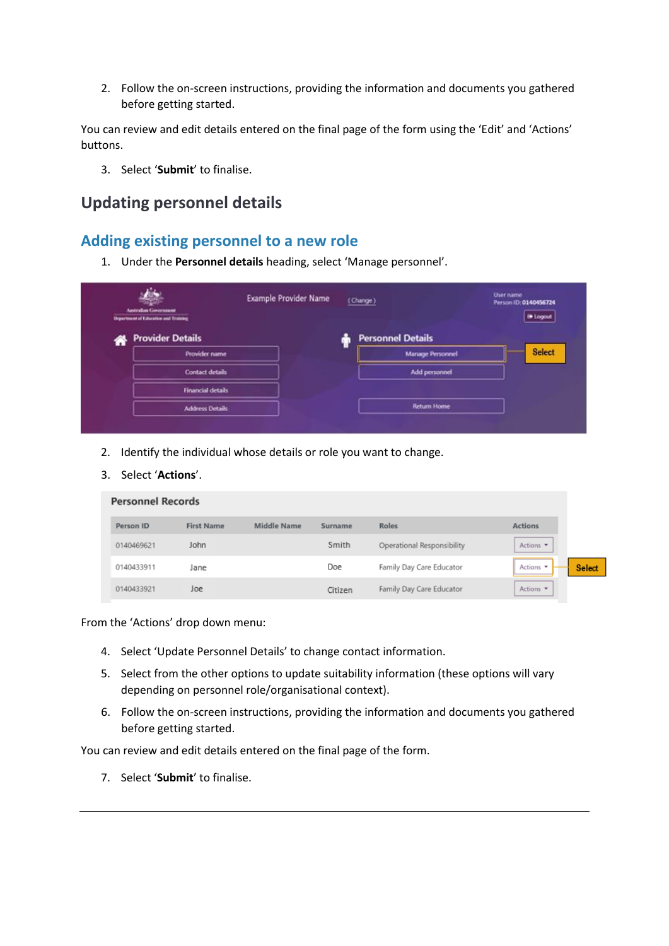2. Follow the on-screen instructions, providing the information and documents you gathered before getting started.

You can review and edit details entered on the final page of the form using the 'Edit' and 'Actions' buttons.

3. Select '**Submit**' to finalise.

## **Updating personnel details**

### **Adding existing personnel to a new role**

1. Under the **Personnel details** heading, select 'Manage personnel'.

|   | <b>Australian Government</b><br>Department of Education and Trubbing | Example Provider Name | (Change) |                          | User name.<br>Person ID: 0140456724<br><b>B</b> Logout |
|---|----------------------------------------------------------------------|-----------------------|----------|--------------------------|--------------------------------------------------------|
| 쏡 | <b>Provider Details</b>                                              |                       |          | <b>Personnel Details</b> |                                                        |
|   | Provider name                                                        |                       |          | <b>Manage Personnel</b>  | <b>Select</b>                                          |
|   | Contact details                                                      |                       |          | Add personnel            |                                                        |
|   | <b>Financial details</b>                                             |                       |          |                          |                                                        |
|   | <b>Address Details</b>                                               |                       |          | <b>Return Home</b>       |                                                        |

- 2. Identify the individual whose details or role you want to change.
- 3. Select '**Actions**'.

| <b>Personnel Records</b> |                   |                    |         |                            |                            |  |  |
|--------------------------|-------------------|--------------------|---------|----------------------------|----------------------------|--|--|
| Person ID                | <b>First Name</b> | <b>Middle Name</b> | Surname | <b>Roles</b>               | <b>Actions</b>             |  |  |
| 0140469621               | John              |                    | Smith   | Operational Responsibility | Actions *                  |  |  |
| 0140433911               | Jane              |                    | Doe     | Family Day Care Educator   | Actions *<br><b>Select</b> |  |  |
| 0140433921               | Joe               |                    | Citizen | Family Day Care Educator   | Actions *                  |  |  |

From the 'Actions' drop down menu:

- 4. Select 'Update Personnel Details' to change contact information.
- 5. Select from the other options to update suitability information (these options will vary depending on personnel role/organisational context).
- 6. Follow the on-screen instructions, providing the information and documents you gathered before getting started.

You can review and edit details entered on the final page of the form.

7. Select '**Submit**' to finalise.